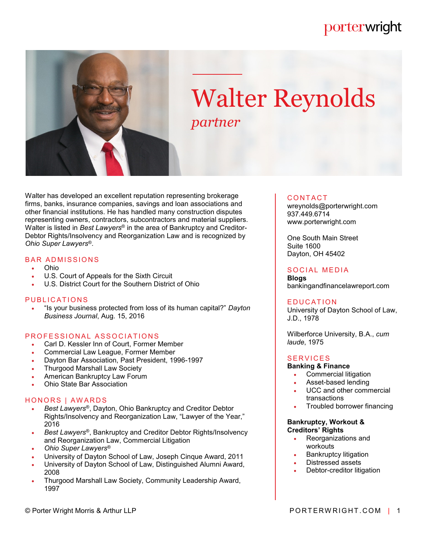# porterwright



# Walter Reynolds *partner*

Walter has developed an excellent reputation representing brokerage firms, banks, insurance companies, savings and loan associations and other financial institutions. He has handled many construction disputes representing owners, contractors, subcontractors and material suppliers. Walter is listed in *Best Lawyers*® in the area of Bankruptcy and Creditor-Debtor Rights/Insolvency and Reorganization Law and is recognized by *Ohio Super Lawyers*®.

### **BAR ADMISSIONS**

- Ohio
- U.S. Court of Appeals for the Sixth Circuit
- U.S. District Court for the Southern District of Ohio

### PUBLICATIONS

 "Is your business protected from loss of its human capital?" *Dayton Business Journal*, Aug. 15, 2016

### PROFESSIONAL ASSOCIATIONS

- Carl D. Kessler Inn of Court, Former Member
- Commercial Law League, Former Member
- Dayton Bar Association, Past President, 1996-1997
- Thurgood Marshall Law Society
- American Bankruptcy Law Forum
- Ohio State Bar Association

### HONORS | AWARDS

- *Best Lawyers*®, Dayton, Ohio Bankruptcy and Creditor Debtor Rights/Insolvency and Reorganization Law, "Lawyer of the Year," 2016
- *Best Lawyers*®, Bankruptcy and Creditor Debtor Rights/Insolvency and Reorganization Law, Commercial Litigation
- *Ohio Super Lawyers*®
- University of Dayton School of Law, Joseph Cinque Award, 2011
- University of Dayton School of Law, Distinguished Alumni Award, 2008
- Thurgood Marshall Law Society, Community Leadership Award, 1997

#### **CONTACT**

wreynolds@porterwright.com 937.449.6714 www.porterwright.com

One South Main Street Suite 1600 Dayton, OH 45402

### SOCIAL MEDIA

**Blogs** bankingandfinancelawreport.com

#### **EDUCATION**

University of Dayton School of Law, J.D., 1978

Wilberforce University, B.A., *cum laude*, 1975

### **SERVICES**

### **Banking & Finance**

- Commercial litigation
- Asset-based lending
- UCC and other commercial transactions
- Troubled borrower financing

### **Bankruptcy, Workout & Creditors' Rights**

- Reorganizations and workouts
- Bankruptcy litigation
- Distressed assets
- Debtor-creditor litigation